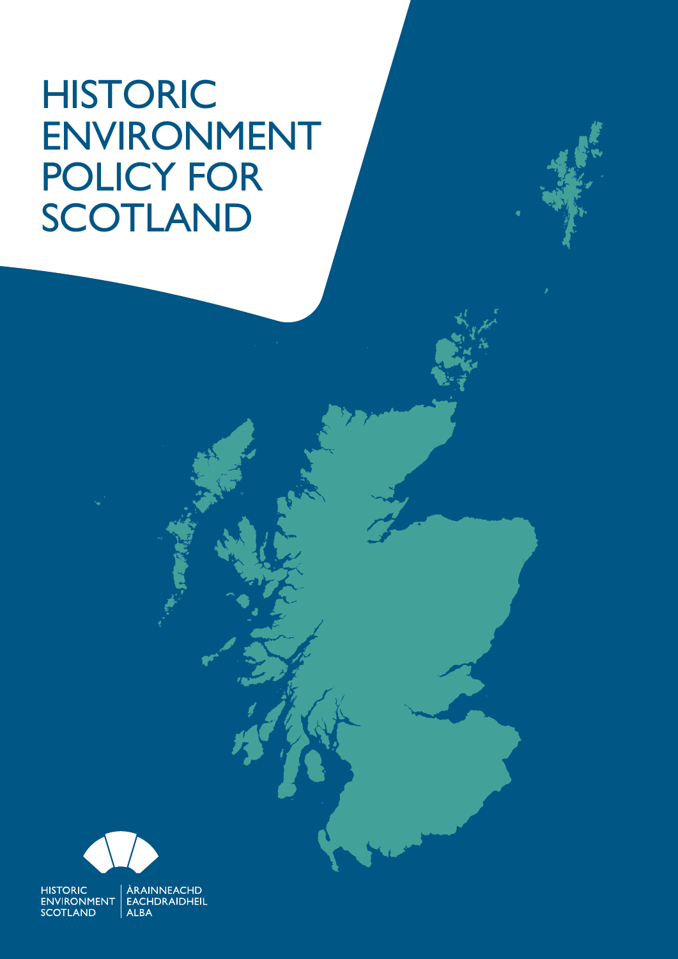# HISTORIC ENVIRONMENT POLICY FOR SCOTLAND



HISTORIC | ÀRAINNEACHD<br>ENVIRONMENT | EACHDRAIDHEIL **SCOTLAND** ALBA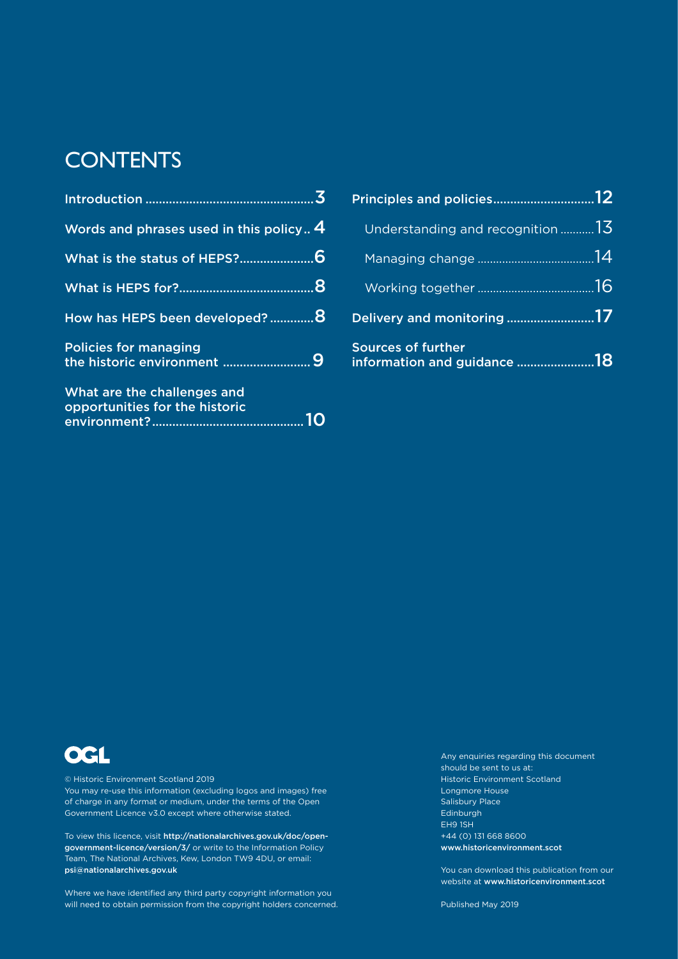### **CONTENTS**

| Words and phrases used in this policy 4                       |  |
|---------------------------------------------------------------|--|
|                                                               |  |
|                                                               |  |
| How has HEPS been developed? 8                                |  |
| <b>Policies for managing</b>                                  |  |
| What are the challenges and<br>opportunities for the historic |  |

| Understanding and recognition $13$                       |  |
|----------------------------------------------------------|--|
|                                                          |  |
|                                                          |  |
| Delivery and monitoring 17                               |  |
| <b>Sources of further</b><br>information and guidance 18 |  |



© Historic Environment Scotland 2019 You may re-use this information (excluding logos and images) free of charge in any format or medium, under the terms of the Open Government Licence v3.0 except where otherwise stated.

To view this licence, visit http://nationalarchives.gov.uk/doc/opengovernment-licence/version/3/ or write to the Information Policy Team, The National Archives, Kew, London TW9 4DU, or email: psi@nationalarchives.gov.uk

Where we have identified any third party copyright information you will need to obtain permission from the copyright holders concerned. Any enquiries regarding this document should be sent to us at: **Historic Environment Scotland** Longmore House Salisbury Place Edinburgh EH9 1SH +44 (0) 131 668 8600 www.historicenvironment.scot

You can download this publication from our website at www.historicenvironment.scot

Published May 2019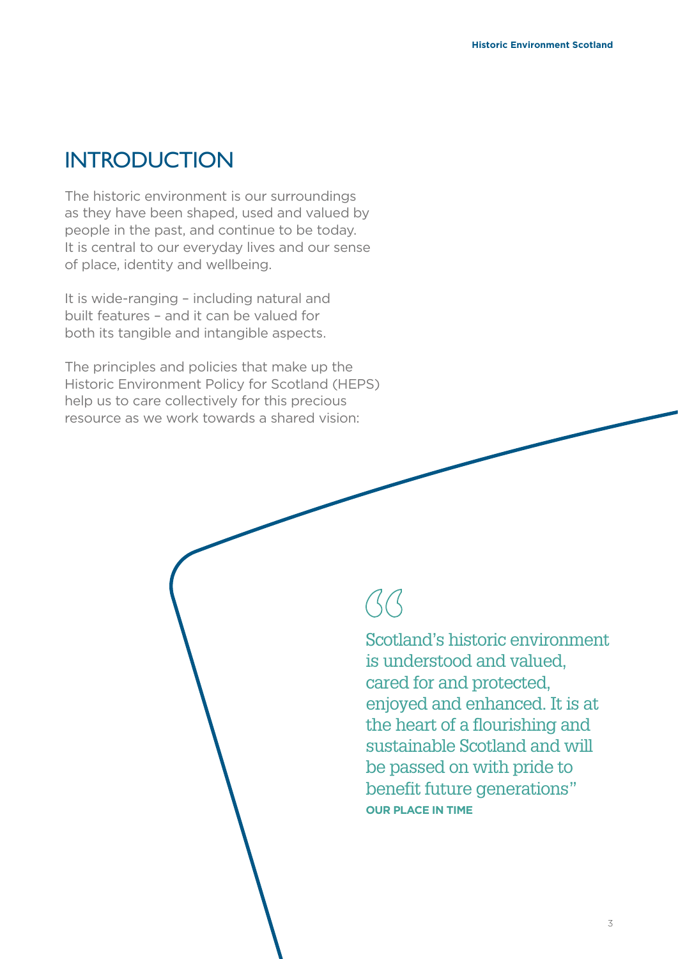### **INTRODUCTION**

The historic environment is our surroundings as they have been shaped, used and valued by people in the past, and continue to be today. It is central to our everyday lives and our sense of place, identity and wellbeing.

It is wide-ranging – including natural and built features – and it can be valued for both its tangible and intangible aspects.

The principles and policies that make up the Historic Environment Policy for Scotland (HEPS) help us to care collectively for this precious resource as we work towards a shared vision:

# $\beta\beta$

Scotland's historic environment is understood and valued, cared for and protected, enjoyed and enhanced. It is at the heart of a flourishing and sustainable Scotland and will be passed on with pride to benefit future generations" **OUR PLACE IN TIME**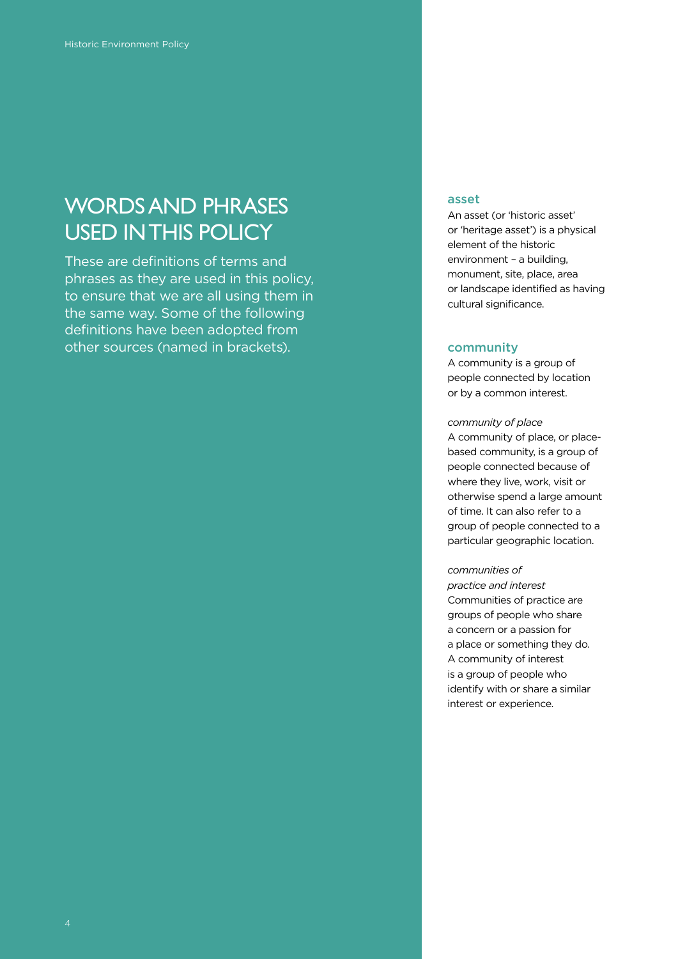### WORDS AND PHRASES USED IN THIS POLICY

These are definitions of terms and phrases as they are used in this policy, to ensure that we are all using them in the same way. Some of the following definitions have been adopted from other sources (named in brackets).

#### asset

An asset (or 'historic asset' or 'heritage asset') is a physical element of the historic environment – a building, monument, site, place, area or landscape identified as having cultural significance.

#### community

A community is a group of people connected by location or by a common interest.

#### *community of place*

A community of place, or placebased community, is a group of people connected because of where they live, work, visit or otherwise spend a large amount of time. It can also refer to a group of people connected to a particular geographic location.

#### *communities of*

*practice and interest* Communities of practice are groups of people who share a concern or a passion for a place or something they do. A community of interest is a group of people who identify with or share a similar interest or experience.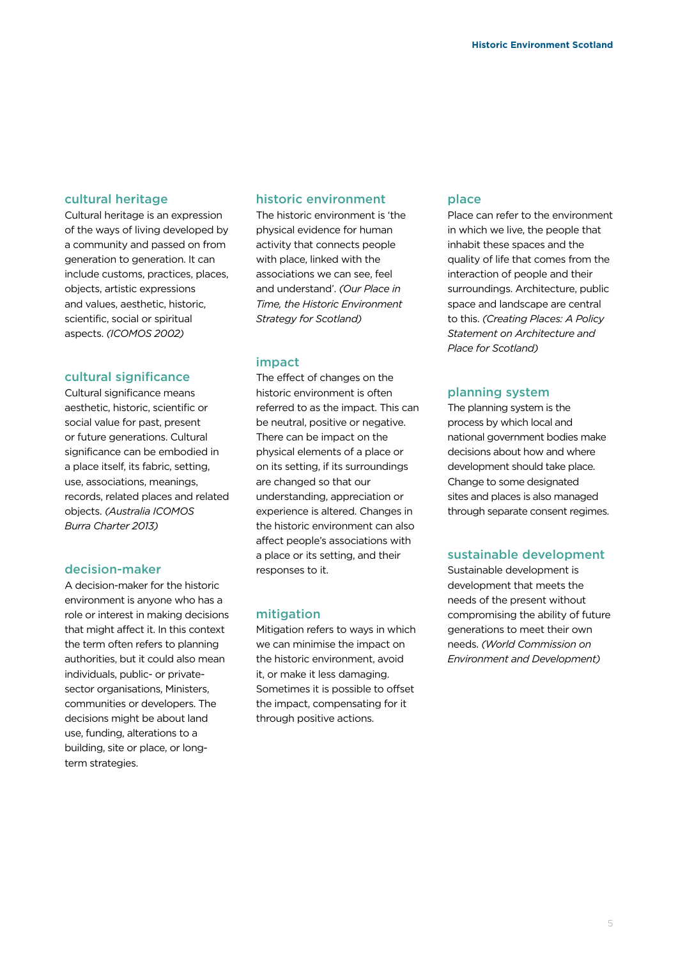#### cultural heritage

Cultural heritage is an expression of the ways of living developed by a community and passed on from generation to generation. It can include customs, practices, places, objects, artistic expressions and values, aesthetic, historic, scientific, social or spiritual aspects. *(ICOMOS 2002)*

#### cultural significance

Cultural significance means aesthetic, historic, scientific or social value for past, present or future generations. Cultural significance can be embodied in a place itself, its fabric, setting, use, associations, meanings, records, related places and related objects. *(Australia ICOMOS Burra Charter 2013)*

#### decision-maker

A decision-maker for the historic environment is anyone who has a role or interest in making decisions that might affect it. In this context the term often refers to planning authorities, but it could also mean individuals, public- or privatesector organisations, Ministers, communities or developers. The decisions might be about land use, funding, alterations to a building, site or place, or longterm strategies.

#### historic environment

The historic environment is 'the physical evidence for human activity that connects people with place, linked with the associations we can see, feel and understand'. *(Our Place in Time, the Historic Environment Strategy for Scotland)*

#### impact

The effect of changes on the historic environment is often referred to as the impact. This can be neutral, positive or negative. There can be impact on the physical elements of a place or on its setting, if its surroundings are changed so that our understanding, appreciation or experience is altered. Changes in the historic environment can also affect people's associations with a place or its setting, and their responses to it.

#### mitigation

Mitigation refers to ways in which we can minimise the impact on the historic environment, avoid it, or make it less damaging. Sometimes it is possible to offset the impact, compensating for it through positive actions.

#### place

Place can refer to the environment in which we live, the people that inhabit these spaces and the quality of life that comes from the interaction of people and their surroundings. Architecture, public space and landscape are central to this. *(Creating Places: A Policy Statement on Architecture and Place for Scotland)*

#### planning system

The planning system is the process by which local and national government bodies make decisions about how and where development should take place. Change to some designated sites and places is also managed through separate consent regimes.

#### sustainable development

Sustainable development is development that meets the needs of the present without compromising the ability of future generations to meet their own needs. *(World Commission on Environment and Development)*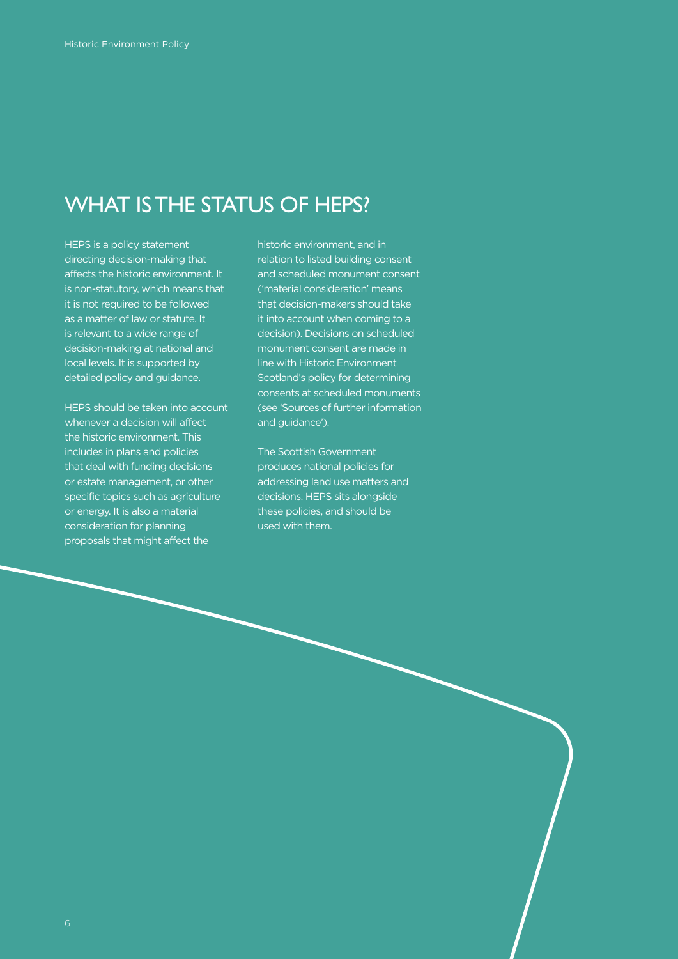### WHAT IS THE STATUS OF HEPS?

HEPS is a policy statement directing decision-making that affects the historic environment. It is non-statutory, which means that it is not required to be followed as a matter of law or statute. It is relevant to a wide range of decision-making at national and local levels. It is supported by detailed policy and guidance.

HEPS should be taken into account whenever a decision will affect the historic environment. This includes in plans and policies that deal with funding decisions or estate management, or other specific topics such as agriculture or energy. It is also a material consideration for planning proposals that might affect the

historic environment, and in relation to listed building consent and scheduled monument consent ('material consideration' means that decision-makers should take it into account when coming to a decision). Decisions on scheduled monument consent are made in line with Historic Environment Scotland's policy for determining consents at scheduled monuments (see 'Sources of further information and guidance').

The Scottish Government produces national policies for addressing land use matters and decisions. HEPS sits alongside these policies, and should be used with them.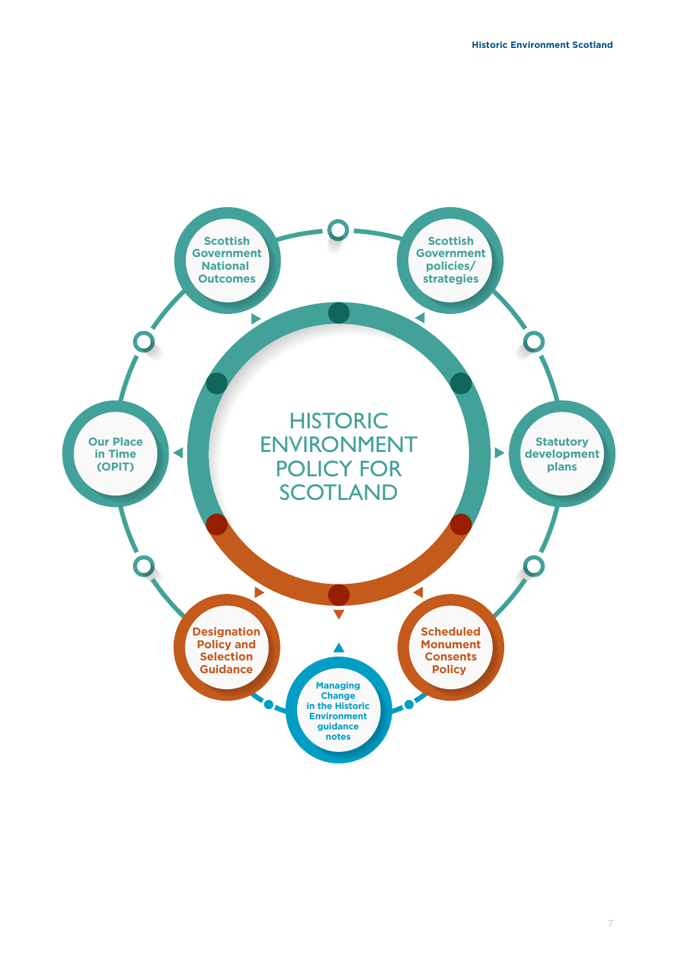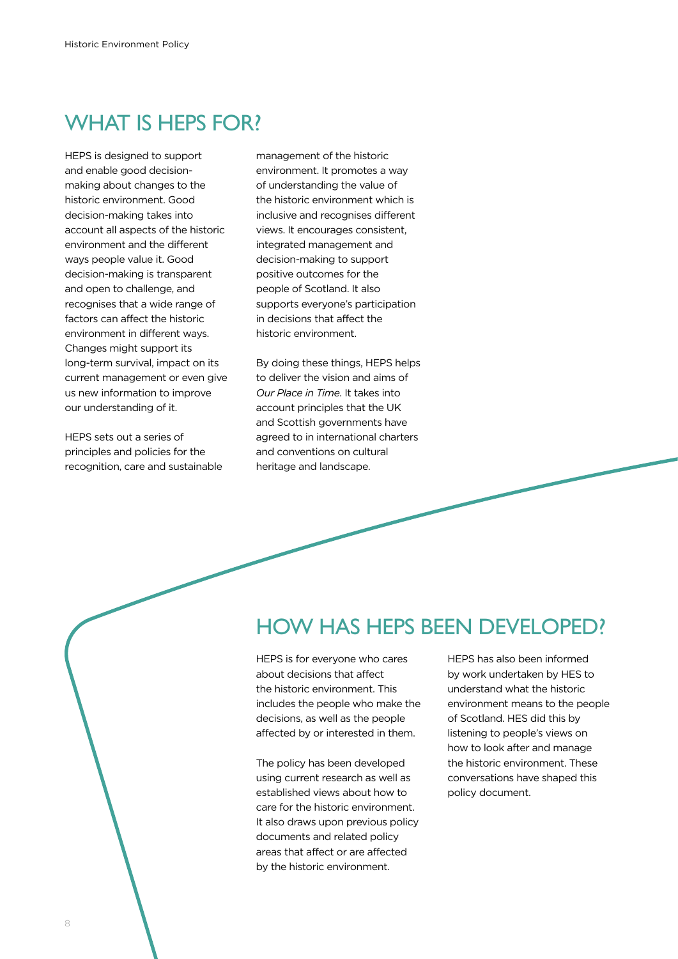### WHAT IS HFPS FOR?

HEPS is designed to support and enable good decisionmaking about changes to the historic environment. Good decision-making takes into account all aspects of the historic environment and the different ways people value it. Good decision-making is transparent and open to challenge, and recognises that a wide range of factors can affect the historic environment in different ways. Changes might support its long-term survival, impact on its current management or even give us new information to improve our understanding of it.

HEPS sets out a series of principles and policies for the recognition, care and sustainable management of the historic environment. It promotes a way of understanding the value of the historic environment which is inclusive and recognises different views. It encourages consistent, integrated management and decision-making to support positive outcomes for the people of Scotland. It also supports everyone's participation in decisions that affect the historic environment.

By doing these things, HEPS helps to deliver the vision and aims of *Our Place in Time*. It takes into account principles that the UK and Scottish governments have agreed to in international charters and conventions on cultural heritage and landscape.

### HOW HAS HEPS BEEN DEVELOPED?

HEPS is for everyone who cares about decisions that affect the historic environment. This includes the people who make the decisions, as well as the people affected by or interested in them.

The policy has been developed using current research as well as established views about how to care for the historic environment. It also draws upon previous policy documents and related policy areas that affect or are affected by the historic environment.

HEPS has also been informed by work undertaken by HES to understand what the historic environment means to the people of Scotland. HES did this by listening to people's views on how to look after and manage the historic environment. These conversations have shaped this policy document.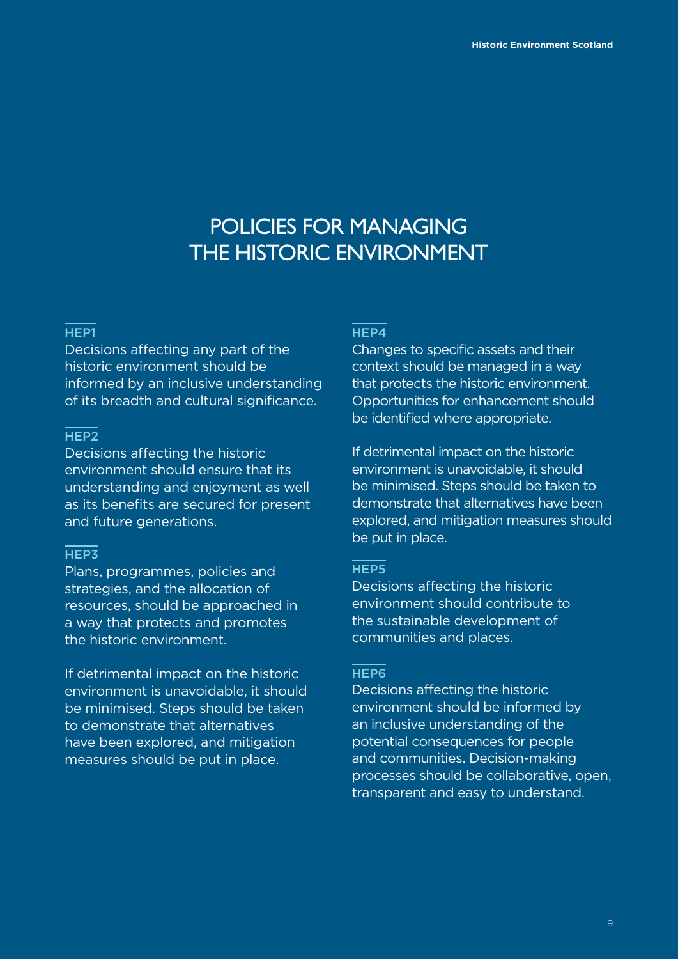### POLICIES FOR MANAGING THE HISTORIC ENVIRONMENT

#### HEP<sub>1</sub>

Decisions affecting any part of the historic environment should be informed by an inclusive understanding of its breadth and cultural significance.

#### HEP2

Decisions affecting the historic environment should ensure that its understanding and enjoyment as well as its benefits are secured for present and future generations.

#### HEP3

Plans, programmes, policies and strategies, and the allocation of resources, should be approached in a way that protects and promotes the historic environment.

If detrimental impact on the historic environment is unavoidable, it should be minimised. Steps should be taken to demonstrate that alternatives have been explored, and mitigation measures should be put in place.

#### HEP4

Changes to specific assets and their context should be managed in a way that protects the historic environment. Opportunities for enhancement should be identified where appropriate.

If detrimental impact on the historic environment is unavoidable, it should be minimised. Steps should be taken to demonstrate that alternatives have been explored, and mitigation measures should be put in place.

#### HEP5

Decisions affecting the historic environment should contribute to the sustainable development of communities and places.

#### HEP6

Decisions affecting the historic environment should be informed by an inclusive understanding of the potential consequences for people and communities. Decision-making processes should be collaborative, open, transparent and easy to understand.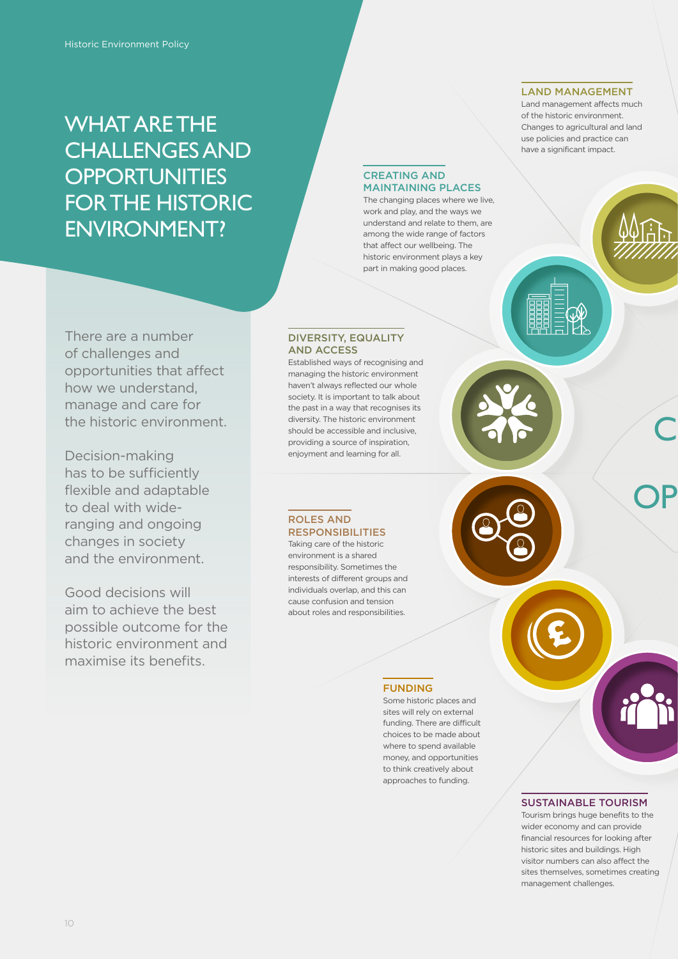### WHAT ARE THE CHALLENGES AND **OPPORTUNITIES** FOR THE HISTORIC ENVIRONMENT?

#### LAND MANAGEMENT

Land management affects much of the historic environment. Changes to agricultural and land use policies and practice can have a significant impact.

C

OP

### There are a number of challenges and opportunities that affect how we understand, manage and care for the historic environment.

Decision-making has to be sufficiently flexible and adaptable to deal with wideranging and ongoing changes in society and the environment.

Good decisions will aim to achieve the best possible outcome for the historic environment and maximise its benefits.

#### DIVERSITY, EQUALITY AND ACCESS

CREATING AND MAINTAINING PLACES The changing places where we live, work and play, and the ways we understand and relate to them, are among the wide range of factors that affect our wellbeing. The historic environment plays a key part in making good places.

Established ways of recognising and managing the historic environment haven't always reflected our whole society. It is important to talk about the past in a way that recognises its diversity. The historic environment should be accessible and inclusive, providing a source of inspiration, enjoyment and learning for all.

#### ROLES AND RESPONSIBILITIES

Taking care of the historic environment is a shared responsibility. Sometimes the interests of different groups and individuals overlap, and this can cause confusion and tension about roles and responsibilities.

#### FUNDING

Some historic places and sites will rely on external funding. There are difficult choices to be made about where to spend available money, and opportunities to think creatively about approaches to funding.

#### SUSTAINABLE TOURISM

Tourism brings huge benefits to the wider economy and can provide financial resources for looking after historic sites and buildings. High visitor numbers can also affect the sites themselves, sometimes creating management challenges.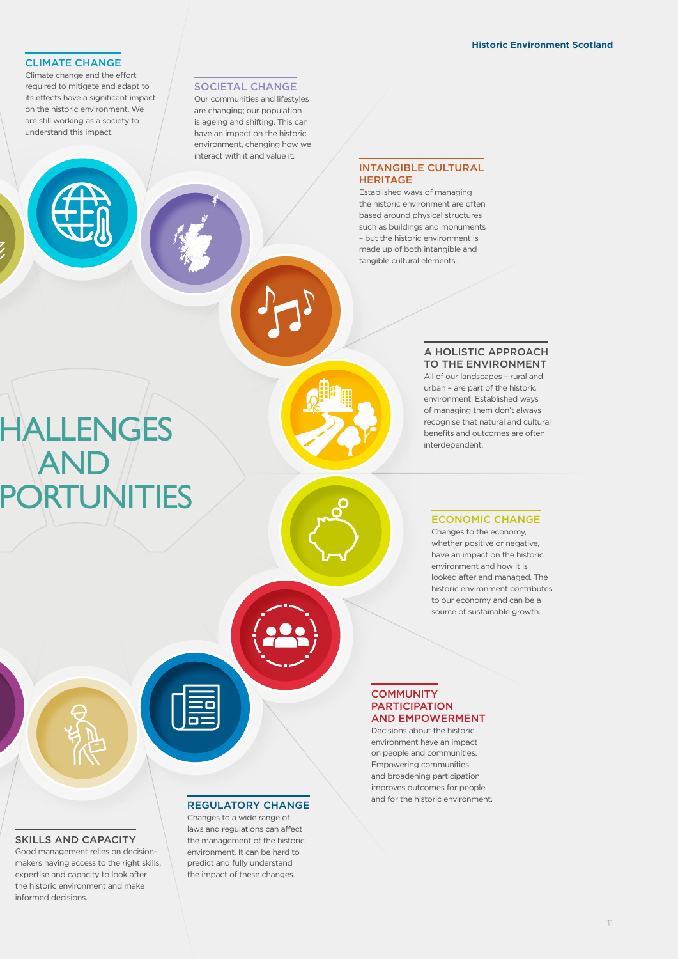#### CLIMATE CHANGE

Climate change and the effort required to mitigate and adapt to its effects have a significant impact on the historic environment. We are still working as a society to understand this impact.

**HALLENGES** 

**ORTUNITIES** 

AND

#### SOCIETAL CHANGE

Our communities and lifestyles are changing; our population is ageing and shifting. This can have an impact on the historic environment, changing how we interact with it and value it.

#### INTANGIBLE CULTURAL **HERITAGE**

Established ways of managing the historic environment are often based around physical structures such as buildings and monuments – but the historic environment is made up of both intangible and tangible cultural elements.

#### A HOLISTIC APPROACH TO THE ENVIRONMENT

All of our landscapes – rural and urban – are part of the historic environment. Established ways of managing them don't always recognise that natural and cultural benefits and outcomes are often interdependent.

#### ECONOMIC CHANGE

Changes to the economy, whether positive or negative, have an impact on the historic environment and how it is looked after and managed. The historic environment contributes to our economy and can be a source of sustainable growth.

#### **COMMUNITY** PARTICIPATION AND EMPOWERMENT

Decisions about the historic environment have an impact on people and communities. Empowering communities and broadening participation improves outcomes for people and for the historic environment.

#### SKILLS AND CAPACITY

Good management relies on decisionmakers having access to the right skills, expertise and capacity to look after the historic environment and make informed decisions.

#### REGULATORY CHANGE

Changes to a wide range of laws and regulations can affect the management of the historic environment. It can be hard to predict and fully understand the impact of these changes.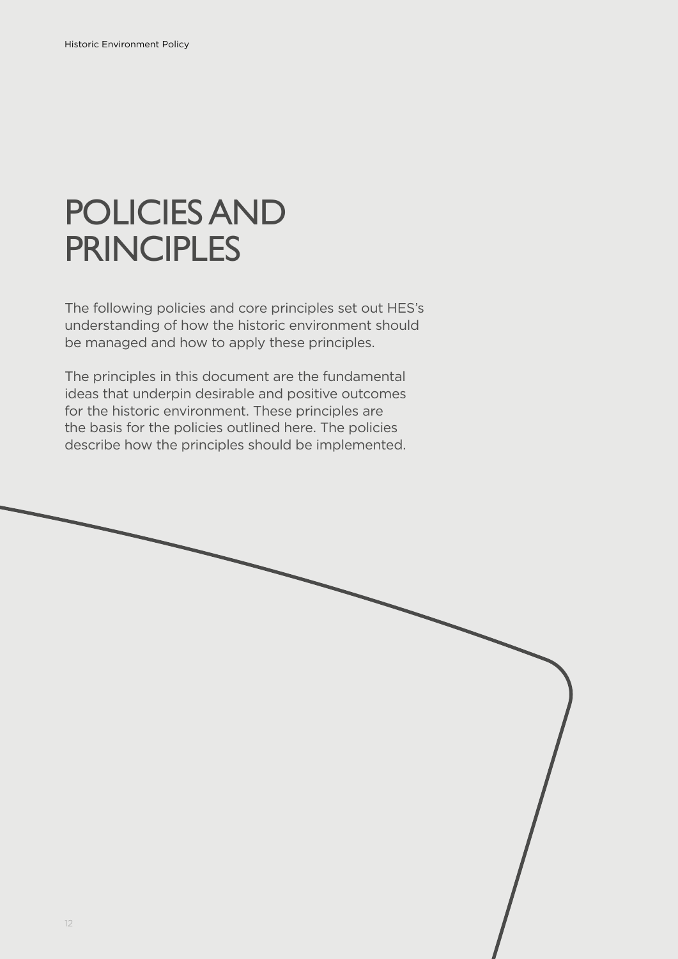# POLICIES AND **PRINCIPLES**

The following policies and core principles set out HES's understanding of how the historic environment should be managed and how to apply these principles.

The principles in this document are the fundamental ideas that underpin desirable and positive outcomes for the historic environment. These principles are the basis for the policies outlined here. The policies describe how the principles should be implemented.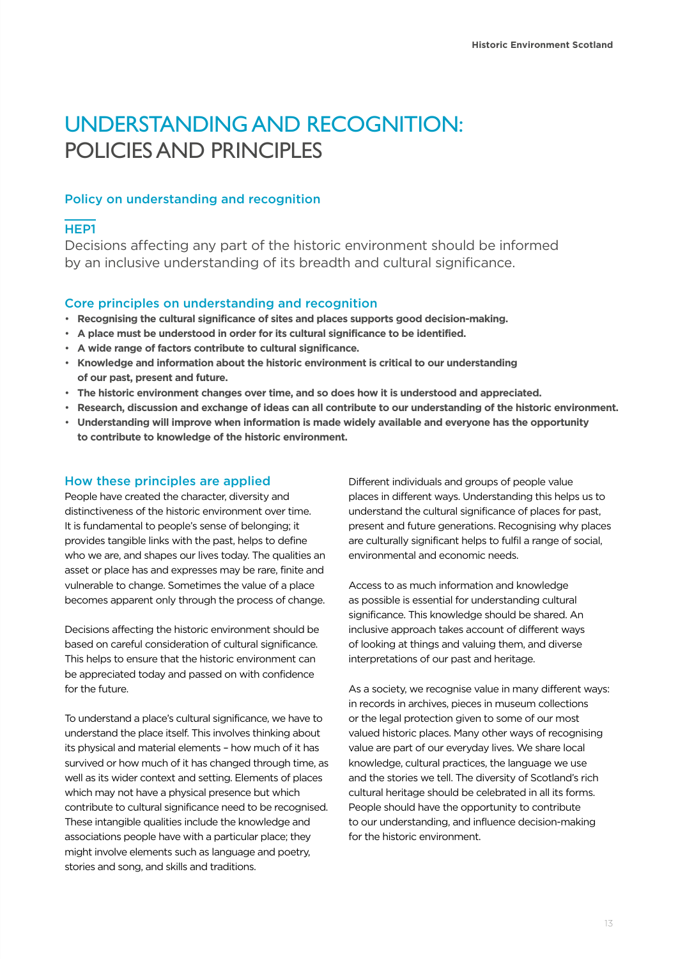### UNDERSTANDING AND RECOGNITION: POLICIES AND PRINCIPLES

#### Policy on understanding and recognition

#### HEP1

Decisions affecting any part of the historic environment should be informed by an inclusive understanding of its breadth and cultural significance.

#### Core principles on understanding and recognition

- **Recognising the cultural significance of sites and places supports good decision-making.**
- **A place must be understood in order for its cultural significance to be identified.**
- **A wide range of factors contribute to cultural significance.**
- **Knowledge and information about the historic environment is critical to our understanding of our past, present and future.**
- **The historic environment changes over time, and so does how it is understood and appreciated.**
- **Research, discussion and exchange of ideas can all contribute to our understanding of the historic environment.**
- **Understanding will improve when information is made widely available and everyone has the opportunity to contribute to knowledge of the historic environment.**

#### How these principles are applied

People have created the character, diversity and distinctiveness of the historic environment over time. It is fundamental to people's sense of belonging; it provides tangible links with the past, helps to define who we are, and shapes our lives today. The qualities an asset or place has and expresses may be rare, finite and vulnerable to change. Sometimes the value of a place becomes apparent only through the process of change.

Decisions affecting the historic environment should be based on careful consideration of cultural significance. This helps to ensure that the historic environment can be appreciated today and passed on with confidence for the future.

To understand a place's cultural significance, we have to understand the place itself. This involves thinking about its physical and material elements – how much of it has survived or how much of it has changed through time, as well as its wider context and setting. Elements of places which may not have a physical presence but which contribute to cultural significance need to be recognised. These intangible qualities include the knowledge and associations people have with a particular place; they might involve elements such as language and poetry, stories and song, and skills and traditions.

Different individuals and groups of people value places in different ways. Understanding this helps us to understand the cultural significance of places for past, present and future generations. Recognising why places are culturally significant helps to fulfil a range of social, environmental and economic needs.

Access to as much information and knowledge as possible is essential for understanding cultural significance. This knowledge should be shared. An inclusive approach takes account of different ways of looking at things and valuing them, and diverse interpretations of our past and heritage.

As a society, we recognise value in many different ways: in records in archives, pieces in museum collections or the legal protection given to some of our most valued historic places. Many other ways of recognising value are part of our everyday lives. We share local knowledge, cultural practices, the language we use and the stories we tell. The diversity of Scotland's rich cultural heritage should be celebrated in all its forms. People should have the opportunity to contribute to our understanding, and influence decision-making for the historic environment.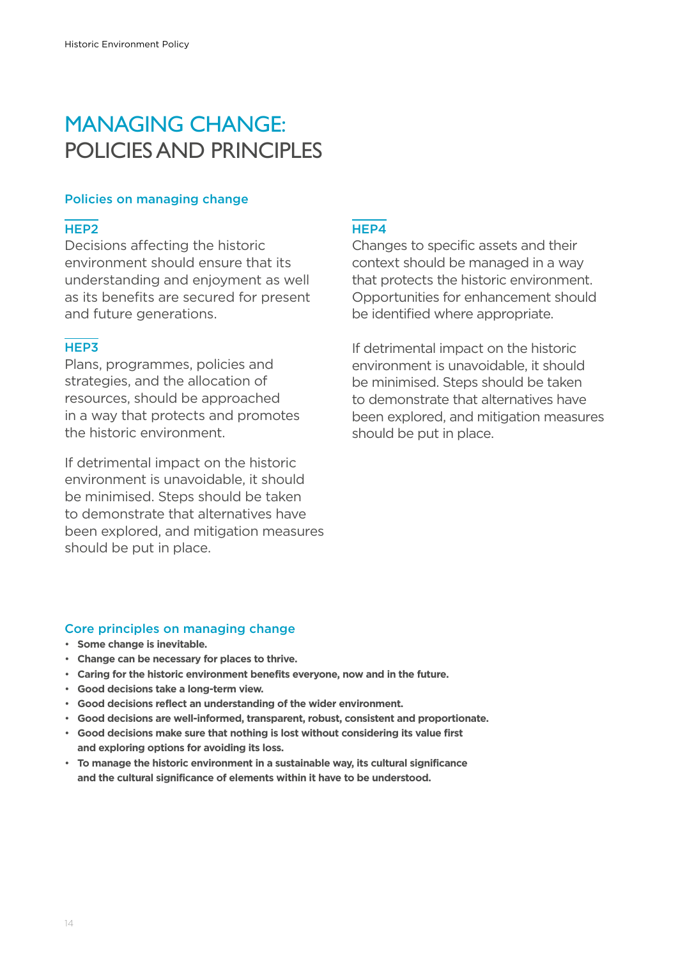### MANAGING CHANGE: POLICIES AND PRINCIPLES

#### Policies on managing change

#### HEP2

Decisions affecting the historic environment should ensure that its understanding and enjoyment as well as its benefits are secured for present and future generations.

#### HEP3

Plans, programmes, policies and strategies, and the allocation of resources, should be approached in a way that protects and promotes the historic environment.

If detrimental impact on the historic environment is unavoidable, it should be minimised. Steps should be taken to demonstrate that alternatives have been explored, and mitigation measures should be put in place.

#### HEP4

Changes to specific assets and their context should be managed in a way that protects the historic environment. Opportunities for enhancement should be identified where appropriate.

If detrimental impact on the historic environment is unavoidable, it should be minimised. Steps should be taken to demonstrate that alternatives have been explored, and mitigation measures should be put in place.

#### Core principles on managing change

- **Some change is inevitable.**
- **Change can be necessary for places to thrive.**
- **Caring for the historic environment benefits everyone, now and in the future.**
- **Good decisions take a long-term view.**
- **Good decisions reflect an understanding of the wider environment.**
- **Good decisions are well-informed, transparent, robust, consistent and proportionate.**
- **Good decisions make sure that nothing is lost without considering its value first and exploring options for avoiding its loss.**
- **To manage the historic environment in a sustainable way, its cultural significance and the cultural significance of elements within it have to be understood.**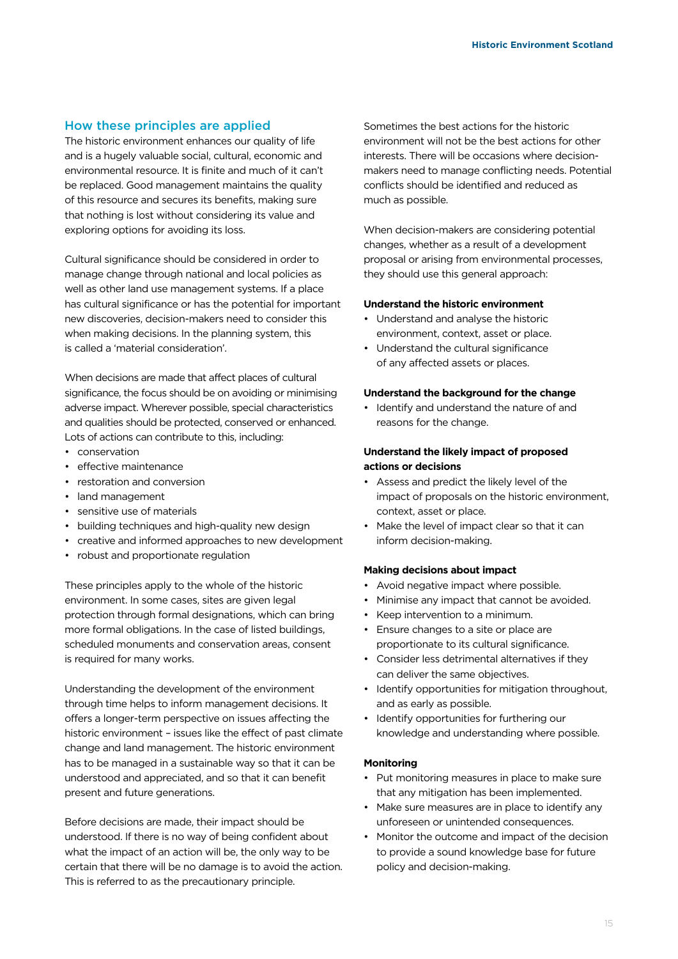#### How these principles are applied

The historic environment enhances our quality of life and is a hugely valuable social, cultural, economic and environmental resource. It is finite and much of it can't be replaced. Good management maintains the quality of this resource and secures its benefits, making sure that nothing is lost without considering its value and exploring options for avoiding its loss.

Cultural significance should be considered in order to manage change through national and local policies as well as other land use management systems. If a place has cultural significance or has the potential for important new discoveries, decision-makers need to consider this when making decisions. In the planning system, this is called a 'material consideration'.

When decisions are made that affect places of cultural significance, the focus should be on avoiding or minimising adverse impact. Wherever possible, special characteristics and qualities should be protected, conserved or enhanced. Lots of actions can contribute to this, including:

- conservation
- effective maintenance
- restoration and conversion
- land management
- sensitive use of materials
- building techniques and high-quality new design
- creative and informed approaches to new development
- robust and proportionate regulation

These principles apply to the whole of the historic environment. In some cases, sites are given legal protection through formal designations, which can bring more formal obligations. In the case of listed buildings, scheduled monuments and conservation areas, consent is required for many works.

Understanding the development of the environment through time helps to inform management decisions. It offers a longer-term perspective on issues affecting the historic environment – issues like the effect of past climate change and land management. The historic environment has to be managed in a sustainable way so that it can be understood and appreciated, and so that it can benefit present and future generations.

Before decisions are made, their impact should be understood. If there is no way of being confident about what the impact of an action will be, the only way to be certain that there will be no damage is to avoid the action. This is referred to as the precautionary principle.

Sometimes the best actions for the historic environment will not be the best actions for other interests. There will be occasions where decisionmakers need to manage conflicting needs. Potential conflicts should be identified and reduced as much as possible.

When decision-makers are considering potential changes, whether as a result of a development proposal or arising from environmental processes, they should use this general approach:

#### **Understand the historic environment**

- Understand and analyse the historic environment, context, asset or place.
- Understand the cultural significance of any affected assets or places.

#### **Understand the background for the change**

Identify and understand the nature of and reasons for the change.

#### **Understand the likely impact of proposed actions or decisions**

- Assess and predict the likely level of the impact of proposals on the historic environment, context, asset or place.
- Make the level of impact clear so that it can inform decision-making.

#### **Making decisions about impact**

- Avoid negative impact where possible.
- Minimise any impact that cannot be avoided.
- Keep intervention to a minimum.
- Ensure changes to a site or place are proportionate to its cultural significance.
- Consider less detrimental alternatives if they can deliver the same objectives.
- Identify opportunities for mitigation throughout, and as early as possible.
- Identify opportunities for furthering our knowledge and understanding where possible.

#### **Monitoring**

- Put monitoring measures in place to make sure that any mitigation has been implemented.
- Make sure measures are in place to identify any unforeseen or unintended consequences.
- Monitor the outcome and impact of the decision to provide a sound knowledge base for future policy and decision-making.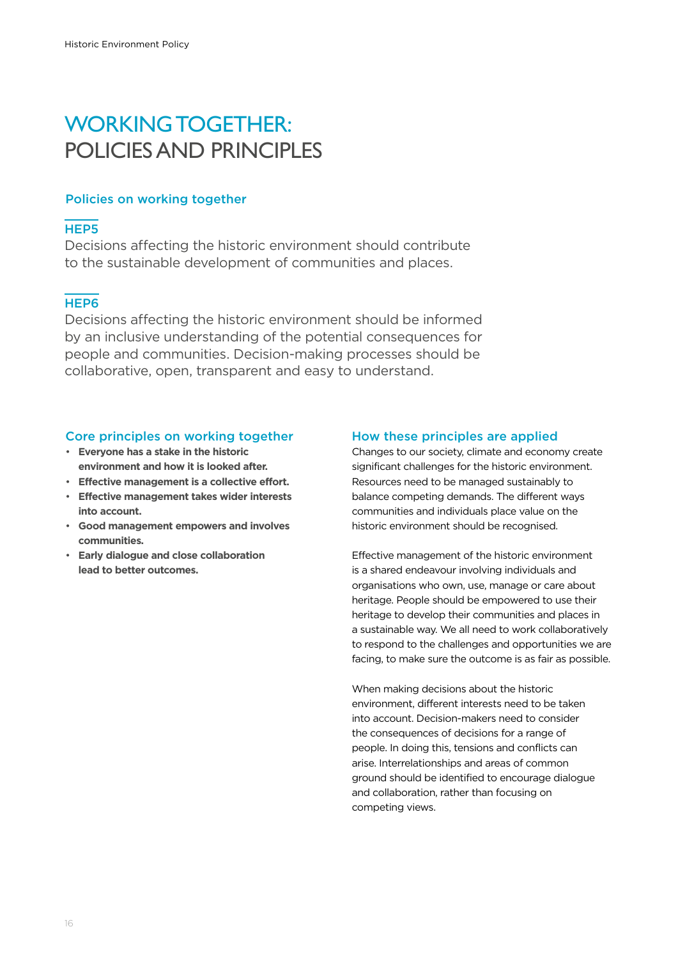### WORKING TOGETHER: POLICIES AND PRINCIPLES

#### Policies on working together

#### HEP5

Decisions affecting the historic environment should contribute to the sustainable development of communities and places.

#### HEP6

Decisions affecting the historic environment should be informed by an inclusive understanding of the potential consequences for people and communities. Decision-making processes should be collaborative, open, transparent and easy to understand.

#### Core principles on working together

- **Everyone has a stake in the historic environment and how it is looked after.**
- **Effective management is a collective effort.**
- **Effective management takes wider interests into account.**
- **Good management empowers and involves communities.**
- **Early dialogue and close collaboration lead to better outcomes.**

#### How these principles are applied

Changes to our society, climate and economy create significant challenges for the historic environment. Resources need to be managed sustainably to balance competing demands. The different ways communities and individuals place value on the historic environment should be recognised.

Effective management of the historic environment is a shared endeavour involving individuals and organisations who own, use, manage or care about heritage. People should be empowered to use their heritage to develop their communities and places in a sustainable way. We all need to work collaboratively to respond to the challenges and opportunities we are facing, to make sure the outcome is as fair as possible.

When making decisions about the historic environment, different interests need to be taken into account. Decision-makers need to consider the consequences of decisions for a range of people. In doing this, tensions and conflicts can arise. Interrelationships and areas of common ground should be identified to encourage dialogue and collaboration, rather than focusing on competing views.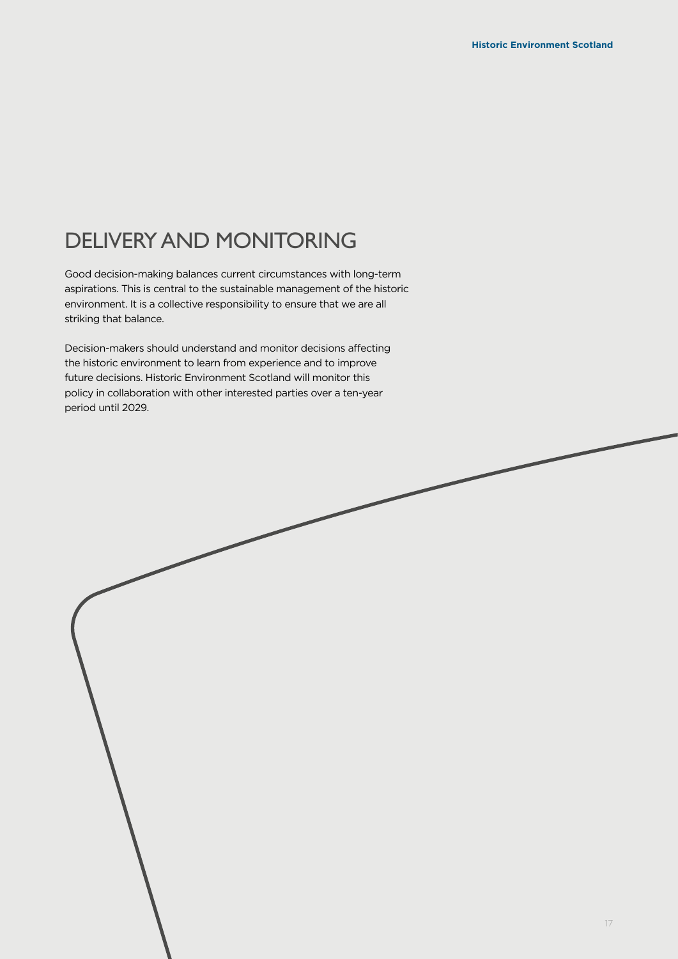## DELIVERY AND MONITORING

Good decision-making balances current circumstances with long-term aspirations. This is central to the sustainable management of the historic environment. It is a collective responsibility to ensure that we are all striking that balance.

Decision-makers should understand and monitor decisions affecting the historic environment to learn from experience and to improve future decisions. Historic Environment Scotland will monitor this policy in collaboration with other interested parties over a ten-year period until 2029.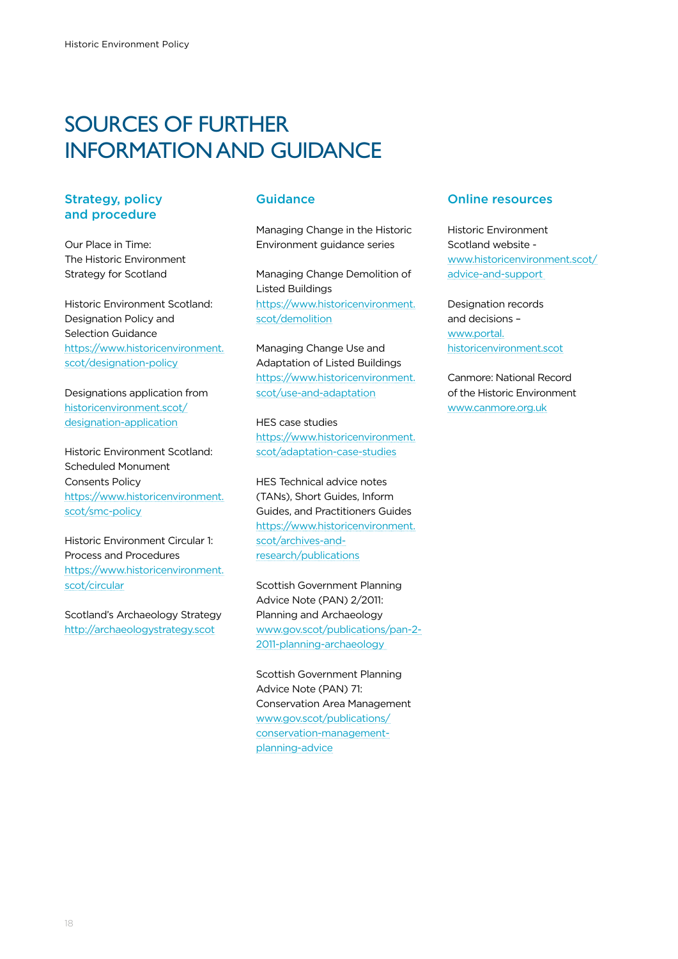### SOURCES OF FURTHER INFORMATION AND GUIDANCE

#### Strategy, policy and procedure

Our Place in Time: The Historic Environment Strategy for Scotland

Historic Environment Scotland: Designation Policy and Selection Guidance [https://www.historicenvironment.](https://www.historicenvironment.scot/designation-policy) [scot/designation-policy](https://www.historicenvironment.scot/designation-policy)

Designations application from [historicenvironment.scot/](http://historicenvironment.scot/designation-application) [designation-application](http://historicenvironment.scot/designation-application)

Historic Environment Scotland: Scheduled Monument Consents Policy [https://www.historicenvironment.](https://www.historicenvironment.scot/smc-policy) [scot/smc-policy](https://www.historicenvironment.scot/smc-policy)

Historic Environment Circular 1: Process and Procedures [https://www.historicenvironment.](https://www.historicenvironment.scot/circular) [scot/circular](https://www.historicenvironment.scot/circular)

Scotland's Archaeology Strategy <http://archaeologystrategy.scot>

#### Guidance

Managing Change in the Historic Environment guidance series

Managing Change Demolition of Listed Buildings [https://www.historicenvironment.](https://www.historicenvironment.scot/demolition) [scot/demolition](https://www.historicenvironment.scot/demolition)

Managing Change Use and Adaptation of Listed Buildings [https://www.historicenvironment.](https://www.historicenvironment.scot/use-and-adaptation) [scot/use-and-adaptation](https://www.historicenvironment.scot/use-and-adaptation)

HES case studies [https://www.historicenvironment.](https://www.historicenvironment.scot/adaptation-case-studies) [scot/adaptation-case-studies](https://www.historicenvironment.scot/adaptation-case-studies)

HES Technical advice notes (TANs), Short Guides, Inform Guides, and Practitioners Guides [https://www.historicenvironment.](https://www.historicenvironment.scot/archives-and-research/publications) [scot/archives-and](https://www.historicenvironment.scot/archives-and-research/publications)[research/publications](https://www.historicenvironment.scot/archives-and-research/publications)

Scottish Government Planning Advice Note (PAN) 2/2011: [Planning and Archaeology](https://www.gov.scot/publications/pan-2-2011-planning-archaeology/)  [www.gov.scot/publications/pan-2-](https://www.gov.scot/publications/pan-2-2011-planning-archaeology/) [2011-planning-archaeology](https://www.gov.scot/publications/pan-2-2011-planning-archaeology/) 

Scottish Government Planning Advice Note (PAN) 71: Conservation Area Management [www.gov.scot/publications/](http://www.gov.scot/publications/conservation-management-planning-advice) [conservation-management](http://www.gov.scot/publications/conservation-management-planning-advice)[planning-advice](http://www.gov.scot/publications/conservation-management-planning-advice)

#### Online resources

Historic Environment Scotland website [www.historicenvironment.scot/](https://www.historicenvironment.scot/advice-and-support) [advice-and-support](https://www.historicenvironment.scot/advice-and-support) 

Designation records and decisions – [www.portal.](https://portal.historicenvironment.scot/) [historicenvironment.scot](https://portal.historicenvironment.scot/)

Canmore: National Record of the Historic Environment www.canmore.org.uk